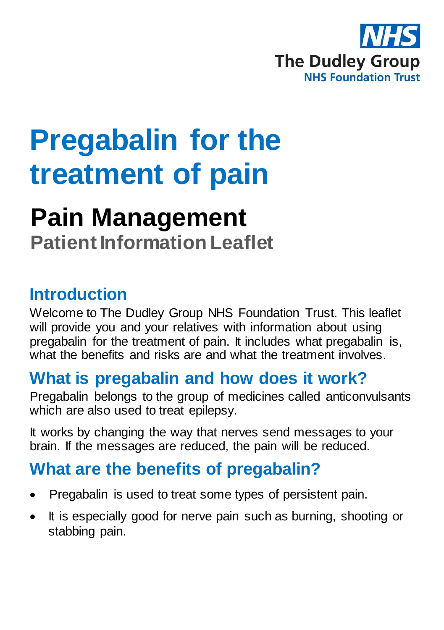

# **Pregabalin for the treatment of pain**

## **Pain Management**

**Patient Information Leaflet**

#### **Introduction**

Welcome to The Dudley Group NHS Foundation Trust. This leaflet will provide you and your relatives with information about using pregabalin for the treatment of pain. It includes what pregabalin is, what the benefits and risks are and what the treatment involves.

#### **What is pregabalin and how does it work?**

Pregabalin belongs to the group of medicines called anticonvulsants which are also used to treat epilepsy.

It works by changing the way that nerves send messages to your brain. If the messages are reduced, the pain will be reduced.

#### **What are the benefits of pregabalin?**

- Pregabalin is used to treat some types of persistent pain.
- It is especially good for nerve pain such as burning, shooting or stabbing pain.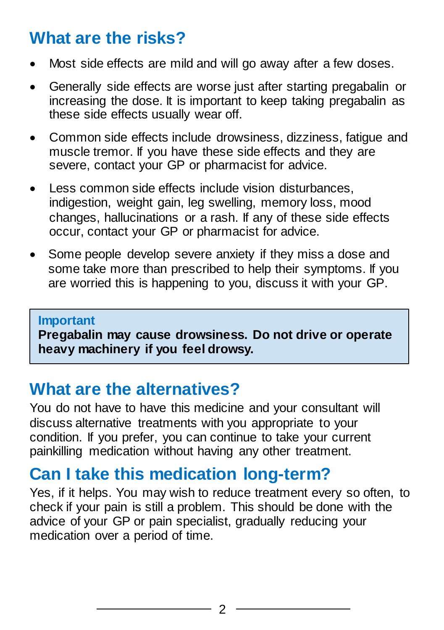#### **What are the risks?**

- Most side effects are mild and will go away after a few doses.
- Generally side effects are worse just after starting pregabalin or increasing the dose. It is important to keep taking pregabalin as these side effects usually wear off.
- Common side effects include drowsiness, dizziness, fatigue and muscle tremor. If you have these side effects and they are severe, contact your GP or pharmacist for advice.
- Less common side effects include vision disturbances, indigestion, weight gain, leg swelling, memory loss, mood changes, hallucinations or a rash. If any of these side effects occur, contact your GP or pharmacist for advice.
- Some people develop severe anxiety if they miss a dose and some take more than prescribed to help their symptoms. If you are worried this is happening to you, discuss it with your GP.

#### **Important**

**Pregabalin may cause drowsiness. Do not drive or operate heavy machinery if you feel drowsy.**

#### **What are the alternatives?**

You do not have to have this medicine and your consultant will discuss alternative treatments with you appropriate to your condition. If you prefer, you can continue to take your current painkilling medication without having any other treatment.

#### **Can I take this medication long-term?**

Yes, if it helps. You may wish to reduce treatment every so often, to check if your pain is still a problem. This should be done with the advice of your GP or pain specialist, gradually reducing your medication over a period of time.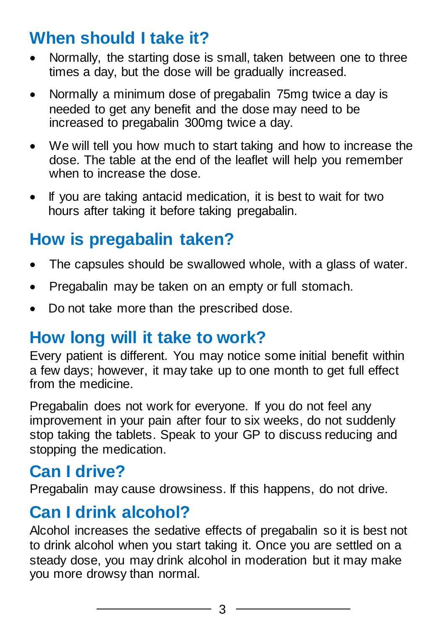#### **When should I take it?**

- Normally, the starting dose is small, taken between one to three times a day, but the dose will be gradually increased.
- Normally a minimum dose of pregabalin 75mg twice a day is needed to get any benefit and the dose may need to be increased to pregabalin 300mg twice a day.
- We will tell you how much to start taking and how to increase the dose. The table at the end of the leaflet will help you remember when to increase the dose.
- If you are taking antacid medication, it is best to wait for two hours after taking it before taking pregabalin.

### **How is pregabalin taken?**

- The capsules should be swallowed whole, with a glass of water.
- Pregabalin may be taken on an empty or full stomach.
- Do not take more than the prescribed dose.

#### **How long will it take to work?**

Every patient is different. You may notice some initial benefit within a few days; however, it may take up to one month to get full effect from the medicine.

Pregabalin does not work for everyone. If you do not feel any improvement in your pain after four to six weeks, do not suddenly stop taking the tablets. Speak to your GP to discuss reducing and stopping the medication.

#### **Can I drive?**

Pregabalin may cause drowsiness. If this happens, do not drive.

#### **Can I drink alcohol?**

Alcohol increases the sedative effects of pregabalin so it is best not to drink alcohol when you start taking it. Once you are settled on a steady dose, you may drink alcohol in moderation but it may make you more drowsy than normal.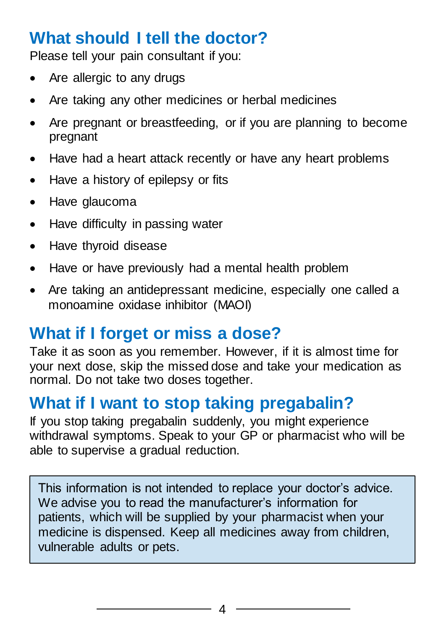#### **What should I tell the doctor?**

Please tell your pain consultant if you:

- Are allergic to any drugs
- Are taking any other medicines or herbal medicines
- Are pregnant or breastfeeding, or if you are planning to become pregnant
- Have had a heart attack recently or have any heart problems
- Have a history of epilepsy or fits
- Have glaucoma
- Have difficulty in passing water
- Have thyroid disease
- Have or have previously had a mental health problem
- Are taking an antidepressant medicine, especially one called a monoamine oxidase inhibitor (MAOI)

#### **What if I forget or miss a dose?**

Take it as soon as you remember. However, if it is almost time for your next dose, skip the missed dose and take your medication as normal. Do not take two doses together.

#### **What if I want to stop taking pregabalin?**

If you stop taking pregabalin suddenly, you might experience withdrawal symptoms. Speak to your GP or pharmacist who will be able to supervise a gradual reduction.

This information is not intended to replace your doctor's advice. We advise you to read the manufacturer's information for patients, which will be supplied by your pharmacist when your medicine is dispensed. Keep all medicines away from children, vulnerable adults or pets.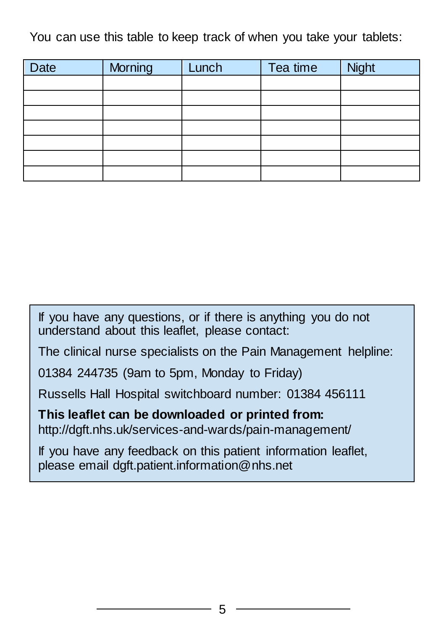You can use this table to keep track of when you take your tablets:

| <b>Date</b> | Morning | Lunch | Tea time | Night |
|-------------|---------|-------|----------|-------|
|             |         |       |          |       |
|             |         |       |          |       |
|             |         |       |          |       |
|             |         |       |          |       |
|             |         |       |          |       |
|             |         |       |          |       |
|             |         |       |          |       |

If you have any questions, or if there is anything you do not understand about this leaflet, please contact:

The clinical nurse specialists on the Pain Management helpline:

01384 244735 (9am to 5pm, Monday to Friday)

Russells Hall Hospital switchboard number: 01384 456111

**This leaflet can be downloaded or printed from:** http://dgft.nhs.uk/services-and-wards/pain-management/

If you have any feedback on this patient information leaflet, please email dgft.patient.information@nhs.net